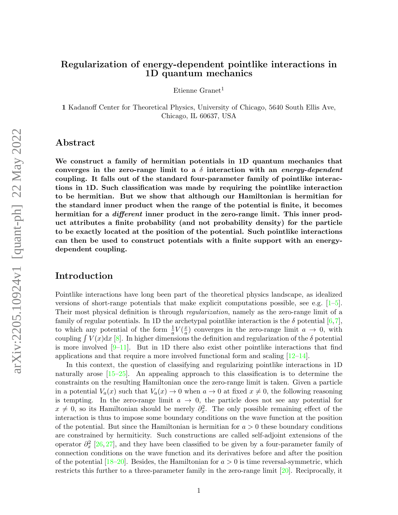# Regularization of energy-dependent pointlike interactions in 1D quantum mechanics

Etienne Granet<sup>1</sup>

1 Kadanoff Center for Theoretical Physics, University of Chicago, 5640 South Ellis Ave, Chicago, IL 60637, USA

# Abstract

We construct a family of hermitian potentials in 1D quantum mechanics that converges in the zero-range limit to a  $\delta$  interaction with an energy-dependent coupling. It falls out of the standard four-parameter family of pointlike interactions in 1D. Such classification was made by requiring the pointlike interaction to be hermitian. But we show that although our Hamiltonian is hermitian for the standard inner product when the range of the potential is finite, it becomes hermitian for a *different* inner product in the zero-range limit. This inner product attributes a finite probability (and not probability density) for the particle to be exactly located at the position of the potential. Such pointlike interactions can then be used to construct potentials with a finite support with an energydependent coupling.

## Introduction

Pointlike interactions have long been part of the theoretical physics landscape, as idealized versions of short-range potentials that make explicit computations possible, see e.g.  $[1-5]$  $[1-5]$ . Their most physical definition is through *regularization*, namely as the zero-range limit of a family of regular potentials. In 1D the archetypal pointlike interaction is the  $\delta$  potential [\[6,](#page-18-1)[7\]](#page-18-2), to which any potential of the form  $\frac{1}{a}V(\frac{x}{a})$  $\frac{x}{a}$ ) converges in the zero-range limit  $a \to 0$ , with coupling  $\int V(x)dx$  [\[8\]](#page-18-3). In higher dimensions the definition and regularization of the  $\delta$  potential is more involved  $[9-11]$  $[9-11]$ . But in 1D there also exist other pointlike interactions that find applications and that require a more involved functional form and scaling  $[12-14]$  $[12-14]$ .

In this context, the question of classifying and regularizing pointlike interactions in 1D naturally arose  $|15-25|$ . An appealing approach to this classification is to determine the constraints on the resulting Hamiltonian once the zero-range limit is taken. Given a particle in a potential  $V_a(x)$  such that  $V_a(x) \to 0$  when  $a \to 0$  at fixed  $x \neq 0$ , the following reasoning is tempting. In the zero-range limit  $a \to 0$ , the particle does not see any potential for  $x \neq 0$ , so its Hamiltonian should be merely  $\partial_x^2$ . The only possible remaining effect of the interaction is thus to impose some boundary conditions on the wave function at the position of the potential. But since the Hamiltonian is hermitian for  $a > 0$  these boundary conditions are constrained by hermiticity. Such constructions are called self-adjoint extensions of the operator  $\partial_x^2$  [\[26,](#page-19-1) [27\]](#page-19-2), and they have been classified to be given by a four-parameter family of connection conditions on the wave function and its derivatives before and after the position of the potential  $[18–20]$  $[18–20]$ . Besides, the Hamiltonian for  $a > 0$  is time reversal-symmetric, which restricts this further to a three-parameter family in the zero-range limit [\[20\]](#page-18-10). Reciprocally, it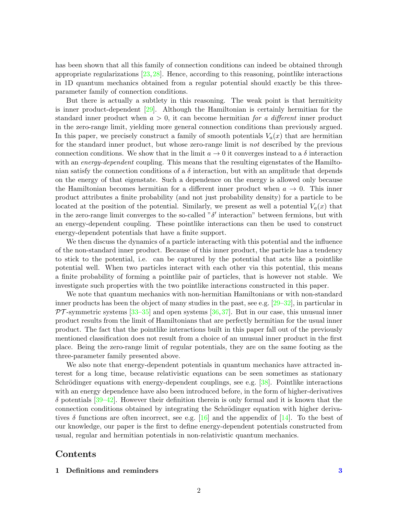has been shown that all this family of connection conditions can indeed be obtained through appropriate regularizations  $[23,28]$  $[23,28]$ . Hence, according to this reasoning, pointlike interactions in 1D quantum mechanics obtained from a regular potential should exactly be this threeparameter family of connection conditions.

But there is actually a subtlety in this reasoning. The weak point is that hermiticity is inner product-dependent [\[29\]](#page-19-5). Although the Hamiltonian is certainly hermitian for the standard inner product when  $a > 0$ , it can become hermitian for a different inner product in the zero-range limit, yielding more general connection conditions than previously argued. In this paper, we precisely construct a family of smooth potentials  $V_a(x)$  that are hermitian for the standard inner product, but whose zero-range limit is not described by the previous connection conditions. We show that in the limit  $a \to 0$  it converges instead to a  $\delta$  interaction with an energy-dependent coupling. This means that the resulting eigenstates of the Hamiltonian satisfy the connection conditions of a  $\delta$  interaction, but with an amplitude that depends on the energy of that eigenstate. Such a dependence on the energy is allowed only because the Hamiltonian becomes hermitian for a different inner product when  $a \to 0$ . This inner product attributes a finite probability (and not just probability density) for a particle to be located at the position of the potential. Similarly, we present as well a potential  $V_a(x)$  that in the zero-range limit converges to the so-called " $\delta'$  interaction" between fermions, but with an energy-dependent coupling. These pointlike interactions can then be used to construct energy-dependent potentials that have a finite support.

We then discuss the dynamics of a particle interacting with this potential and the influence of the non-standard inner product. Because of this inner product, the particle has a tendency to stick to the potential, i.e. can be captured by the potential that acts like a pointlike potential well. When two particles interact with each other via this potential, this means a finite probability of forming a pointlike pair of particles, that is however not stable. We investigate such properties with the two pointlike interactions constructed in this paper.

We note that quantum mechanics with non-hermitian Hamiltonians or with non-standard inner products has been the object of many studies in the past, see e.g. [\[29–](#page-19-5)[32\]](#page-19-6), in particular in  $PT$ -symmetric systems [\[33–](#page-19-7)[35\]](#page-19-8) and open systems [\[36,](#page-19-9)[37\]](#page-19-10). But in our case, this unusual inner product results from the limit of Hamiltonians that are perfectly hermitian for the usual inner product. The fact that the pointlike interactions built in this paper fall out of the previously mentioned classification does not result from a choice of an unusual inner product in the first place. Being the zero-range limit of regular potentials, they are on the same footing as the three-parameter family presented above.

We also note that energy-dependent potentials in quantum mechanics have attracted interest for a long time, because relativistic equations can be seen sometimes as stationary Schrödinger equations with energy-dependent couplings, see e.g.  $[38]$ . Pointlike interactions with an energy dependence have also been introduced before, in the form of higher-derivatives  $\delta$  potentials [\[39–](#page-19-12)[42\]](#page-20-0). However their definition therein is only formal and it is known that the connection conditions obtained by integrating the Schrödinger equation with higher derivatives  $\delta$  functions are often incorrect, see e.g. [\[16\]](#page-18-11) and the appendix of [\[14\]](#page-18-7). To the best of our knowledge, our paper is the first to define energy-dependent potentials constructed from usual, regular and hermitian potentials in non-relativistic quantum mechanics.

# Contents

1 Definitions and reminders [3](#page-2-0)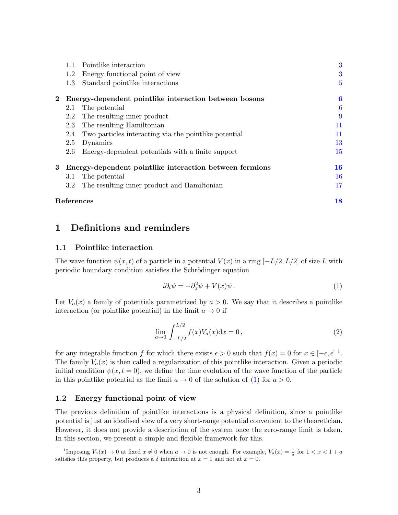|            | 1.1                                                     | Pointlike interaction                                 | 3              |
|------------|---------------------------------------------------------|-------------------------------------------------------|----------------|
|            | 1.2                                                     | Energy functional point of view                       | 3              |
|            | 1.3                                                     | Standard pointlike interactions                       | $\overline{5}$ |
| $\bf{2}$   |                                                         | Energy-dependent pointlike interaction between bosons | 6              |
|            | 2.1                                                     | The potential                                         | 6              |
|            | 2.2                                                     | The resulting inner product                           | 9              |
|            | 2.3                                                     | The resulting Hamiltonian                             | 11             |
|            | 2.4                                                     | Two particles interacting via the pointlike potential | 11             |
|            | 2.5                                                     | Dynamics                                              | 13             |
|            | 2.6                                                     | Energy-dependent potentials with a finite support     | 15             |
| 3          | Energy-dependent pointlike interaction between fermions |                                                       | 16             |
|            | 3.1                                                     | The potential                                         | 16             |
|            | 3.2                                                     | The resulting inner product and Hamiltonian           | 17             |
| References |                                                         |                                                       | 18             |

# <span id="page-2-0"></span>1 Definitions and reminders

### <span id="page-2-1"></span>1.1 Pointlike interaction

The wave function  $\psi(x, t)$  of a particle in a potential  $V(x)$  in a ring  $[-L/2, L/2]$  of size L with periodic boundary condition satisfies the Schrödinger equation

<span id="page-2-4"></span>
$$
i\partial_t \psi = -\partial_x^2 \psi + V(x)\psi.
$$
 (1)

Let  $V_a(x)$  a family of potentials parametrized by  $a > 0$ . We say that it describes a pointlike interaction (or pointlike potential) in the limit  $a \to 0$  if

$$
\lim_{a \to 0} \int_{-L/2}^{L/2} f(x) V_a(x) dx = 0,
$$
\n(2)

for any integrable function f for which there exists  $\epsilon > 0$  such that  $f(x) = 0$  for  $x \in [-\epsilon, \epsilon]$ <sup>[1](#page-2-3)</sup>. The family  $V_a(x)$  is then called a regularization of this pointlike interaction. Given a periodic initial condition  $\psi(x, t = 0)$ , we define the time evolution of the wave function of the particle in this pointlike potential as the limit  $a \to 0$  of the solution of [\(1\)](#page-2-4) for  $a > 0$ .

### <span id="page-2-2"></span>1.2 Energy functional point of view

The previous definition of pointlike interactions is a physical definition, since a pointlike potential is just an idealised view of a very short-range potential convenient to the theoretician. However, it does not provide a description of the system once the zero-range limit is taken. In this section, we present a simple and flexible framework for this.

<span id="page-2-3"></span><sup>&</sup>lt;sup>1</sup>Imposing  $V_a(x) \to 0$  at fixed  $x \neq 0$  when  $a \to 0$  is not enough. For example,  $V_a(x) = \frac{1}{a}$  for  $1 < x < 1 + a$ satisfies this property, but produces a  $\delta$  interaction at  $x = 1$  and not at  $x = 0$ .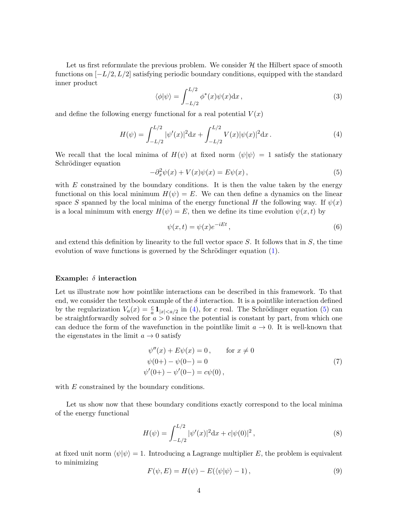Let us first reformulate the previous problem. We consider  $H$  the Hilbert space of smooth functions on  $[-L/2, L/2]$  satisfying periodic boundary conditions, equipped with the standard inner product

<span id="page-3-0"></span>
$$
\langle \phi | \psi \rangle = \int_{-L/2}^{L/2} \phi^*(x) \psi(x) dx , \qquad (3)
$$

and define the following energy functional for a real potential  $V(x)$ 

$$
H(\psi) = \int_{-L/2}^{L/2} |\psi'(x)|^2 dx + \int_{-L/2}^{L/2} V(x) |\psi(x)|^2 dx.
$$
 (4)

We recall that the local minima of  $H(\psi)$  at fixed norm  $\langle \psi | \psi \rangle = 1$  satisfy the stationary Schrödinger equation

<span id="page-3-1"></span>
$$
-\partial_x^2 \psi(x) + V(x)\psi(x) = E\psi(x),\tag{5}
$$

with  $E$  constrained by the boundary conditions. It is then the value taken by the energy functional on this local minimum  $H(\psi) = E$ . We can then define a dynamics on the linear space S spanned by the local minima of the energy functional H the following way. If  $\psi(x)$ is a local minimum with energy  $H(\psi) = E$ , then we define its time evolution  $\psi(x, t)$  by

$$
\psi(x,t) = \psi(x)e^{-iEt},\tag{6}
$$

and extend this definition by linearity to the full vector space  $S$ . It follows that in  $S$ , the time evolution of wave functions is governed by the Schrödinger equation  $(1)$ .

#### Example:  $\delta$  interaction

Let us illustrate now how pointlike interactions can be described in this framework. To that end, we consider the textbook example of the  $\delta$  interaction. It is a pointlike interaction defined by the regularization  $V_a(x) = \frac{c}{a} \mathbf{1}_{|x| < a/2}$  in [\(4\)](#page-3-0), for c real. The Schrödinger equation [\(5\)](#page-3-1) can be straightforwardly solved for  $a > 0$  since the potential is constant by part, from which one can deduce the form of the wavefunction in the pointlike limit  $a \to 0$ . It is well-known that the eigenstates in the limit  $a \to 0$  satisfy

$$
\psi''(x) + E\psi(x) = 0, \quad \text{for } x \neq 0
$$
  
\n
$$
\psi(0+) - \psi(0-) = 0
$$
  
\n
$$
\psi'(0+) - \psi'(0-) = c\psi(0),
$$
\n(7)

with  $E$  constrained by the boundary conditions.

Let us show now that these boundary conditions exactly correspond to the local minima of the energy functional

$$
H(\psi) = \int_{-L/2}^{L/2} |\psi'(x)|^2 dx + c|\psi(0)|^2,
$$
\n(8)

at fixed unit norm  $\langle \psi | \psi \rangle = 1$ . Introducing a Lagrange multiplier E, the problem is equivalent to minimizing

$$
F(\psi, E) = H(\psi) - E(\langle \psi | \psi \rangle - 1), \qquad (9)
$$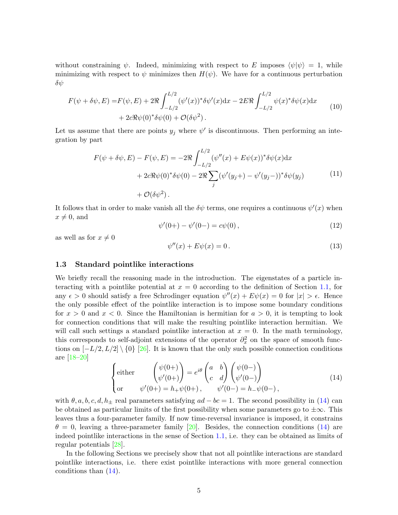without constraining  $\psi$ . Indeed, minimizing with respect to E imposes  $\langle \psi | \psi \rangle = 1$ , while minimizing with respect to  $\psi$  minimizes then  $H(\psi)$ . We have for a continuous perturbation δψ

$$
F(\psi + \delta\psi, E) = F(\psi, E) + 2\Re \int_{-L/2}^{L/2} (\psi'(x))^* \delta\psi'(x) dx - 2E\Re \int_{-L/2}^{L/2} \psi(x)^* \delta\psi(x) dx + 2c\Re \psi(0)^* \delta\psi(0) + \mathcal{O}(\delta\psi^2).
$$
 (10)

Let us assume that there are points  $y_j$  where  $\psi'$  is discontinuous. Then performing an integration by part

$$
F(\psi + \delta \psi, E) - F(\psi, E) = -2\Re \int_{-L/2}^{L/2} (\psi''(x) + E\psi(x))^* \delta \psi(x) dx + 2c\Re \psi(0)^* \delta \psi(0) - 2\Re \sum_j (\psi'(y_j+) - \psi'(y_j-))^* \delta \psi(y_j) + \mathcal{O}(\delta \psi^2).
$$
 (11)

It follows that in order to make vanish all the  $\delta\psi$  terms, one requires a continuous  $\psi'(x)$  when  $x \neq 0$ , and

$$
\psi'(0+) - \psi'(0-) = c\psi(0),\tag{12}
$$

as well as for  $x \neq 0$ 

$$
\psi''(x) + E\psi(x) = 0.
$$
\n<sup>(13)</sup>

### <span id="page-4-0"></span>1.3 Standard pointlike interactions

We briefly recall the reasoning made in the introduction. The eigenstates of a particle interacting with a pointlike potential at  $x = 0$  according to the definition of Section [1.1,](#page-2-1) for any  $\epsilon > 0$  should satisfy a free Schrodinger equation  $\psi''(x) + E\psi(x) = 0$  for  $|x| > \epsilon$ . Hence the only possible effect of the pointlike interaction is to impose some boundary conditions for  $x > 0$  and  $x < 0$ . Since the Hamiltonian is hermitian for  $a > 0$ , it is tempting to look for connection conditions that will make the resulting pointlike interaction hermitian. We will call such settings a standard pointlike interaction at  $x = 0$ . In the math terminology, this corresponds to self-adjoint extensions of the operator  $\partial_x^2$  on the space of smooth functions on  $[-L/2, L/2] \setminus \{0\}$  [\[26\]](#page-19-1). It is known that the only such possible connection conditions are [\[18–](#page-18-9)[20\]](#page-18-10)

<span id="page-4-1"></span>
$$
\begin{cases}\n\text{either} & \begin{pmatrix} \psi(0+) \\ \psi'(0+) \end{pmatrix} = e^{i\theta} \begin{pmatrix} a & b \\ c & d \end{pmatrix} \begin{pmatrix} \psi(0-) \\ \psi'(0-) \end{pmatrix} \\
\text{or} & \psi'(0+) = h_+\psi(0+) \end{cases}, \quad \psi'(0-) = h_-\psi(0-),\n\end{cases} (14)
$$

with  $\theta$ ,  $a, b, c, d, h_{+}$  real parameters satisfying  $ad - bc = 1$ . The second possibility in [\(14\)](#page-4-1) can be obtained as particular limits of the first possibility when some parameters go to  $\pm \infty$ . This leaves thus a four-parameter family. If now time-reversal invariance is imposed, it constrains  $\theta = 0$ , leaving a three-parameter family [\[20\]](#page-18-10). Besides, the connection conditions [\(14\)](#page-4-1) are indeed pointlike interactions in the sense of Section [1.1,](#page-2-1) i.e. they can be obtained as limits of regular potentials [\[28\]](#page-19-4).

In the following Sections we precisely show that not all pointlike interactions are standard pointlike interactions, i.e. there exist pointlike interactions with more general connection conditions than [\(14\)](#page-4-1).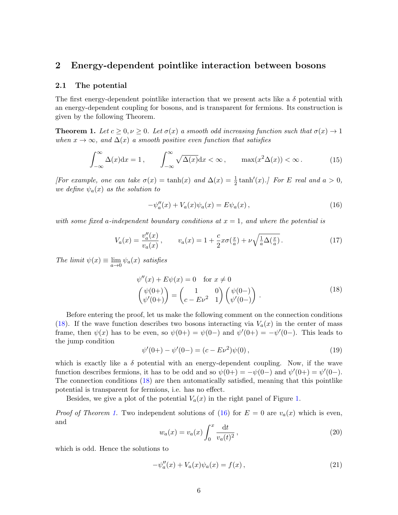## <span id="page-5-0"></span>2 Energy-dependent pointlike interaction between bosons

#### <span id="page-5-1"></span>2.1 The potential

The first energy-dependent pointlike interaction that we present acts like a  $\delta$  potential with an energy-dependent coupling for bosons, and is transparent for fermions. Its construction is given by the following Theorem.

<span id="page-5-3"></span>**Theorem 1.** Let  $c \geq 0, \nu \geq 0$ . Let  $\sigma(x)$  a smooth odd increasing function such that  $\sigma(x) \to 1$ when  $x \to \infty$ , and  $\Delta(x)$  a smooth positive even function that satisfies

$$
\int_{-\infty}^{\infty} \Delta(x) dx = 1, \qquad \int_{-\infty}^{\infty} \sqrt{\Delta(x)} dx < \infty, \qquad \max(x^2 \Delta(x)) < \infty.
$$
 (15)

[For example, one can take  $\sigma(x) = \tanh(x)$  and  $\Delta(x) = \frac{1}{2} \tanh'(x)$ .] For E real and  $a > 0$ , we define  $\psi_a(x)$  as the solution to

<span id="page-5-5"></span><span id="page-5-4"></span>
$$
-\psi_a''(x) + V_a(x)\psi_a(x) = E\psi_a(x),\qquad(16)
$$

with some fixed a-independent boundary conditions at  $x = 1$ , and where the potential is

$$
V_a(x) = \frac{v_a''(x)}{v_a(x)}, \qquad v_a(x) = 1 + \frac{c}{2}x\sigma(\frac{x}{a}) + \nu\sqrt{\frac{1}{a}\Delta(\frac{x}{a})}.
$$
 (17)

The limit  $\psi(x) \equiv \lim_{a \to 0} \psi_a(x)$  satisfies

<span id="page-5-2"></span>
$$
\psi''(x) + E\psi(x) = 0 \quad \text{for } x \neq 0
$$

$$
\begin{pmatrix} \psi(0+) \\ \psi'(0+) \end{pmatrix} = \begin{pmatrix} 1 & 0 \\ c - E\nu^2 & 1 \end{pmatrix} \begin{pmatrix} \psi(0-) \\ \psi'(0-) \end{pmatrix} . \tag{18}
$$

Before entering the proof, let us make the following comment on the connection conditions [\(18\)](#page-5-2). If the wave function describes two bosons interacting via  $V_a(x)$  in the center of mass frame, then  $\psi(x)$  has to be even, so  $\psi(0+) = \psi(0-)$  and  $\psi'(0+) = -\psi'(0-)$ . This leads to the jump condition

$$
\psi'(0+) - \psi'(0-) = (c - E\nu^2)\psi(0),\tag{19}
$$

which is exactly like a  $\delta$  potential with an energy-dependent coupling. Now, if the wave function describes fermions, it has to be odd and so  $\psi(0+) = -\psi(0-)$  and  $\psi'(0+) = \psi'(0-)$ . The connection conditions [\(18\)](#page-5-2) are then automatically satisfied, meaning that this pointlike potential is transparent for fermions, i.e. has no effect.

Besides, we give a plot of the potential  $V_a(x)$  in the right panel of Figure [1.](#page-14-1)

*Proof of Theorem [1.](#page-5-3)* Two independent solutions of [\(16\)](#page-5-4) for  $E = 0$  are  $v_a(x)$  which is even, and

$$
w_a(x) = v_a(x) \int_0^x \frac{dt}{v_a(t)^2},
$$
\n(20)

which is odd. Hence the solutions to

$$
-\psi''_a(x) + V_a(x)\psi_a(x) = f(x), \qquad (21)
$$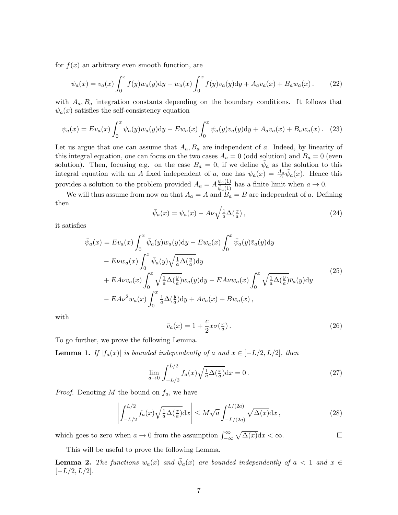for  $f(x)$  an arbitrary even smooth function, are

$$
\psi_a(x) = v_a(x) \int_0^x f(y)w_a(y)dy - w_a(x) \int_0^x f(y)v_a(y)dy + A_a v_a(x) + B_a w_a(x).
$$
 (22)

with  $A_a, B_a$  integration constants depending on the boundary conditions. It follows that  $\psi_a(x)$  satisfies the self-consistency equation

$$
\psi_a(x) = E v_a(x) \int_0^x \psi_a(y) w_a(y) dy - E w_a(x) \int_0^x \psi_a(y) v_a(y) dy + A_a v_a(x) + B_a w_a(x). \tag{23}
$$

Let us argue that one can assume that  $A_a, B_a$  are independent of a. Indeed, by linearity of this integral equation, one can focus on the two cases  $A_a = 0$  (odd solution) and  $B_a = 0$  (even solution). Then, focusing e.g. on the case  $B_a = 0$ , if we define  $\tilde{\psi}_a$  as the solution to this integral equation with an A fixed independent of a, one has  $\psi_a(x) = \frac{A_a}{A} \tilde{\psi}_a(x)$ . Hence this provides a solution to the problem provided  $A_a = A \frac{\psi_a(1)}{\tilde{\psi}_a(1)}$  has a finite limit when  $a \to 0$ .

We will thus assume from now on that  $A_a = A$  and  $B'_a = B$  are independent of a. Defining then

$$
\bar{\psi}_a(x) = \psi_a(x) - A\nu \sqrt{\frac{1}{a} \Delta(\frac{x}{a})},\tag{24}
$$

it satisfies

<span id="page-6-0"></span>
$$
\bar{\psi}_a(x) = Ev_a(x) \int_0^x \bar{\psi}_a(y) w_a(y) dy - E w_a(x) \int_0^x \bar{\psi}_a(y) \bar{v}_a(y) dy \n- Ev w_a(x) \int_0^x \bar{\psi}_a(y) \sqrt{\frac{1}{a} \Delta(\frac{y}{a})} dy \n+ E A \nu v_a(x) \int_0^x \sqrt{\frac{1}{a} \Delta(\frac{y}{a})} w_a(y) dy - E A \nu w_a(x) \int_0^x \sqrt{\frac{1}{a} \Delta(\frac{y}{a})} \bar{v}_a(y) dy \n- E A \nu^2 w_a(x) \int_0^x \frac{1}{a} \Delta(\frac{y}{a}) dy + A \bar{v}_a(x) + B w_a(x),
$$
\n(25)

with

$$
\bar{v}_a(x) = 1 + \frac{c}{2} x \sigma(\frac{x}{a}). \tag{26}
$$

To go further, we prove the following Lemma.

<span id="page-6-1"></span>**Lemma 1.** If  $|f_a(x)|$  is bounded independently of a and  $x \in [-L/2, L/2]$ , then

$$
\lim_{a \to 0} \int_{-L/2}^{L/2} f_a(x) \sqrt{\frac{1}{a} \Delta(\frac{x}{a})} dx = 0.
$$
 (27)

*Proof.* Denoting M the bound on  $f_a$ , we have

$$
\left| \int_{-L/2}^{L/2} f_a(x) \sqrt{\frac{1}{a} \Delta(\frac{x}{a})} dx \right| \leq M \sqrt{a} \int_{-L/(2a)}^{L/(2a)} \sqrt{\Delta(x)} dx,
$$
\n(28)

which goes to zero when  $a \to 0$  from the assumption  $\int_{-\infty}^{\infty} \sqrt{\Delta(x)} dx < \infty$ .  $\Box$ 

This will be useful to prove the following Lemma.

<span id="page-6-2"></span>**Lemma 2.** The functions  $w_a(x)$  and  $\bar{\psi}_a(x)$  are bounded independently of  $a < 1$  and  $x \in \bar{\mathcal{L}}$  $[-L/2, L/2].$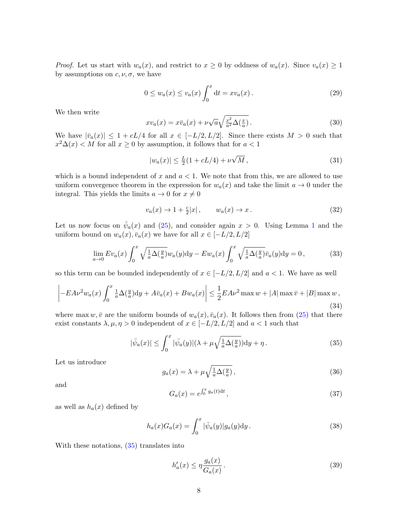*Proof.* Let us start with  $w_a(x)$ , and restrict to  $x \ge 0$  by oddness of  $w_a(x)$ . Since  $v_a(x) \ge 1$ by assumptions on  $c, \nu, \sigma$ , we have

$$
0 \le w_a(x) \le v_a(x) \int_0^x dt = xv_a(x). \tag{29}
$$

We then write

$$
xv_a(x) = x\bar{v}_a(x) + \nu\sqrt{a}\sqrt{\frac{x^2}{a^2}\Delta(\frac{x}{a})}.
$$
\n(30)

We have  $|\bar{v}_a(x)| \leq 1 + cL/4$  for all  $x \in [-L/2, L/2]$ . Since there exists  $M > 0$  such that  $x^2\Delta(x)$  < M for all  $x \ge 0$  by assumption, it follows that for  $a < 1$ 

$$
|w_a(x)| \le \frac{L}{2}(1 + cL/4) + \nu\sqrt{M}, \qquad (31)
$$

which is a bound independent of x and  $a < 1$ . We note that from this, we are allowed to use uniform convergence theorem in the expression for  $w_a(x)$  and take the limit  $a \to 0$  under the integral. This yields the limits  $a \to 0$  for  $x \neq 0$ 

$$
v_a(x) \to 1 + \frac{c}{2}|x|, \qquad w_a(x) \to x. \tag{32}
$$

Let us now focus on  $\bar{\psi}_a(x)$  and [\(25\)](#page-6-0), and consider again  $x > 0$ . Using Lemma [1](#page-6-1) and the uniform bound on  $w_a(x), \bar{v}_a(x)$  we have for all  $x \in [-L/2, L/2]$ 

$$
\lim_{a \to 0} E v_a(x) \int_0^x \sqrt{\frac{1}{a} \Delta(\frac{y}{a})} w_a(y) dy - E w_a(x) \int_0^x \sqrt{\frac{1}{a} \Delta(\frac{y}{a})} \bar{v}_a(y) dy = 0,
$$
 (33)

so this term can be bounded independently of  $x \in [-L/2, L/2]$  and  $a < 1$ . We have as well

$$
\left| -EA\nu^2 w_a(x) \int_0^x \frac{1}{a} \Delta(\frac{y}{a}) dy + A\bar{v}_a(x) + B w_a(x) \right| \le \frac{1}{2} EA\nu^2 \max w + |A| \max \bar{v} + |B| \max w , \tag{34}
$$

where max  $w, \bar{v}$  are the uniform bounds of  $w_a(x), \bar{v}_a(x)$ . It follows then from [\(25\)](#page-6-0) that there exist constants  $\lambda, \mu, \eta > 0$  independent of  $x \in [-L/2, L/2]$  and  $a < 1$  such that

$$
|\bar{\psi}_a(x)| \le \int_0^x |\bar{\psi}_a(y)| (\lambda + \mu \sqrt{\frac{1}{a}\Delta(\frac{y}{a})}) dy + \eta.
$$
 (35)

Let us introduce

<span id="page-7-0"></span>
$$
g_a(x) = \lambda + \mu \sqrt{\frac{1}{a} \Delta(\frac{y}{a})},\tag{36}
$$

and

$$
G_a(x) = e^{\int_0^x g_a(t)dt},
$$
\n(37)

as well as  $h_a(x)$  defined by

$$
h_a(x)G_a(x) = \int_0^x |\bar{\psi}_a(y)|g_a(y)dy.
$$
\n(38)

With these notations,  $(35)$  translates into

$$
h'_a(x) \le \eta \frac{g_a(x)}{G_a(x)}.
$$
\n(39)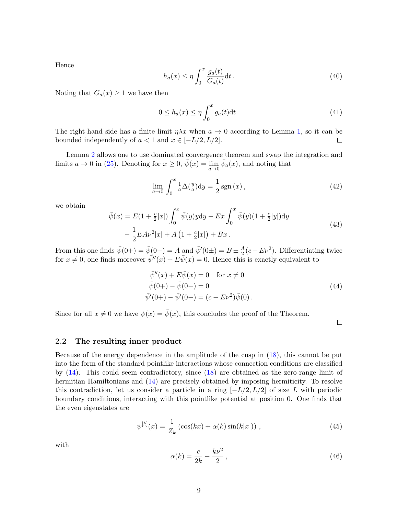Hence

$$
h_a(x) \le \eta \int_0^x \frac{g_a(t)}{G_a(t)} dt.
$$
\n(40)

Noting that  $G_a(x) \geq 1$  we have then

$$
0 \le h_a(x) \le \eta \int_0^x g_a(t) \mathrm{d}t \,. \tag{41}
$$

The right-hand side has a finite limit  $\eta \lambda x$  when  $a \to 0$  according to Lemma [1,](#page-6-1) so it can be bounded independently of  $a < 1$  and  $x \in [-L/2, L/2]$ .  $\Box$ 

Lemma [2](#page-6-2) allows one to use dominated convergence theorem and swap the integration and limits  $a \to 0$  in [\(25\)](#page-6-0). Denoting for  $x \ge 0$ ,  $\bar{\psi}(x) = \lim_{a \to 0} \bar{\psi}_a(x)$ , and noting that

<span id="page-8-3"></span>
$$
\lim_{a \to 0} \int_0^x \frac{1}{a} \Delta(\frac{y}{a}) dy = \frac{1}{2} \operatorname{sgn}(x), \tag{42}
$$

we obtain

$$
\bar{\psi}(x) = E(1 + \frac{c}{2}|x|) \int_0^x \bar{\psi}(y)y \,dy - Ex \int_0^x \bar{\psi}(y)(1 + \frac{c}{2}|y|) \,dy \n- \frac{1}{2}EA\nu^2|x| + A(1 + \frac{c}{2}|x|) + Bx.
$$
\n(43)

From this one finds  $\bar{\psi}(0+) = \bar{\psi}(0-) = A$  and  $\bar{\psi}'(0) \pm B \pm \frac{A}{2}$  $\frac{A}{2}(c - E\nu^2)$ . Differentiating twice for  $x \neq 0$ , one finds moreover  $\overline{\psi}''(x) + E\overline{\psi}(x) = 0$ . Hence this is exactly equivalent to

$$
\begin{aligned}\n\bar{\psi}''(x) + E\bar{\psi}(x) &= 0 \quad \text{for } x \neq 0 \\
\bar{\psi}(0+) - \bar{\psi}(0-) &= 0 \\
\bar{\psi}'(0+) - \bar{\psi}'(0-) &= (c - E\nu^2)\bar{\psi}(0).\n\end{aligned} \tag{44}
$$

Since for all  $x \neq 0$  we have  $\psi(x) = \bar{\psi}(x)$ , this concludes the proof of the Theorem.

 $\Box$ 

#### <span id="page-8-0"></span>2.2 The resulting inner product

Because of the energy dependence in the amplitude of the cusp in [\(18\)](#page-5-2), this cannot be put into the form of the standard pointlike interactions whose connection conditions are classified by [\(14\)](#page-4-1). This could seem contradictory, since [\(18\)](#page-5-2) are obtained as the zero-range limit of hermitian Hamiltonians and [\(14\)](#page-4-1) are precisely obtained by imposing hermiticity. To resolve this contradiction, let us consider a particle in a ring  $[-L/2, L/2]$  of size L with periodic boundary conditions, interacting with this pointlike potential at position 0. One finds that the even eigenstates are

<span id="page-8-1"></span>
$$
\psi^{[k]}(x) = \frac{1}{Z_k} \left( \cos(kx) + \alpha(k) \sin(k|x|) \right),\tag{45}
$$

<span id="page-8-2"></span>with

$$
\alpha(k) = \frac{c}{2k} - \frac{k\nu^2}{2},\tag{46}
$$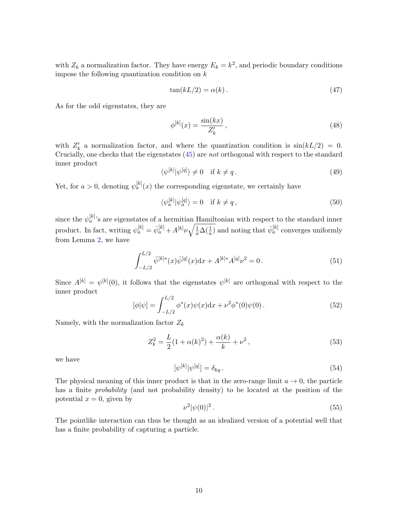with  $Z_k$  a normalization factor. They have energy  $E_k = k^2$ , and periodic boundary conditions impose the following quantization condition on  $k$ 

<span id="page-9-2"></span>
$$
\tan(kL/2) = \alpha(k). \tag{47}
$$

As for the odd eigenstates, they are

$$
\phi^{[k]}(x) = \frac{\sin(kx)}{Z'_k},\tag{48}
$$

with  $Z'_k$  a normalization factor, and where the quantization condition is  $\sin(kL/2) = 0$ . Crucially, one checks that the eigenstates  $(45)$  are not orthogonal with respect to the standard inner product

$$
\langle \psi^{[k]} | \psi^{[q]} \rangle \neq 0 \quad \text{if } k \neq q \,. \tag{49}
$$

Yet, for  $a > 0$ , denoting  $\psi_a^{[k]}(x)$  the corresponding eigenstate, we certainly have

$$
\langle \psi_a^{[k]} | \psi_a^{[q]} \rangle = 0 \quad \text{if } k \neq q \,, \tag{50}
$$

since the  $\psi_a^{[k]}$ 's are eigenstates of a hermitian Hamiltonian with respect to the standard inner product. In fact, writing  $\psi_a^{[k]} = \bar{\psi}_a^{[k]} + A^{[k]} \nu \sqrt{\frac{1}{a} \Delta(\frac{1}{a})}$  and noting that  $\bar{\psi}_a^{[k]}$  converges uniformly from Lemma [2,](#page-6-2) we have

$$
\int_{-L/2}^{L/2} \bar{\psi}^{[k]*}(x) \bar{\psi}^{[q]}(x) dx + A^{[k]*} A^{[q]} \nu^2 = 0.
$$
 (51)

Since  $A^{[k]} = \psi^{[k]}(0)$ , it follows that the eigenstates  $\psi^{[k]}$  are orthogonal with respect to the inner product

<span id="page-9-0"></span>
$$
[\phi|\psi] = \int_{-L/2}^{L/2} \phi^*(x)\psi(x)dx + \nu^2\phi^*(0)\psi(0).
$$
 (52)

Namely, with the normalization factor  $Z_k$ 

<span id="page-9-1"></span>
$$
Z_k^2 = \frac{L}{2}(1 + \alpha(k)^2) + \frac{\alpha(k)}{k} + \nu^2,
$$
\n(53)

we have

$$
[\psi^{[k]}|\psi^{[q]}] = \delta_{kq} \,. \tag{54}
$$

The physical meaning of this inner product is that in the zero-range limit  $a \to 0$ , the particle has a finite *probability* (and not probability density) to be located at the position of the potential  $x = 0$ , given by

$$
\nu^2 |\psi(0)|^2 \,. \tag{55}
$$

The pointlike interaction can thus be thought as an idealized version of a potential well that has a finite probability of capturing a particle.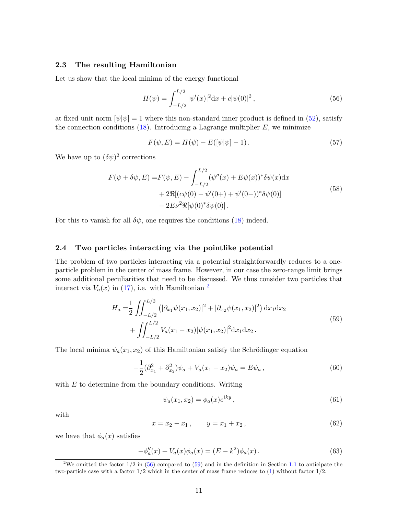#### <span id="page-10-0"></span>2.3 The resulting Hamiltonian

Let us show that the local minima of the energy functional

<span id="page-10-3"></span>
$$
H(\psi) = \int_{-L/2}^{L/2} |\psi'(x)|^2 dx + c|\psi(0)|^2,
$$
\n(56)

at fixed unit norm  $[\psi|\psi] = 1$  where this non-standard inner product is defined in [\(52\)](#page-9-0), satisfy the connection conditions  $(18)$ . Introducing a Lagrange multiplier E, we minimize

$$
F(\psi, E) = H(\psi) - E([\psi|\psi] - 1).
$$
\n(57)

We have up to  $(\delta \psi)^2$  corrections

$$
F(\psi + \delta\psi, E) = F(\psi, E) - \int_{-L/2}^{L/2} (\psi''(x) + E\psi(x))^* \delta\psi(x) dx + 2\Re[(c\psi(0) - \psi'(0+) + \psi'(0-))^* \delta\psi(0)] - 2E\nu^2 \Re[\psi(0)^* \delta\psi(0)].
$$
\n(58)

For this to vanish for all  $\delta\psi$ , one requires the conditions [\(18\)](#page-5-2) indeed.

#### <span id="page-10-1"></span>2.4 Two particles interacting via the pointlike potential

The problem of two particles interacting via a potential straightforwardly reduces to a oneparticle problem in the center of mass frame. However, in our case the zero-range limit brings some additional peculiarities that need to be discussed. We thus consider two particles that interact via  $V_a(x)$  in [\(17\)](#page-5-5), i.e. with Hamiltonian <sup>[2](#page-10-2)</sup>

<span id="page-10-4"></span>
$$
H_a = \frac{1}{2} \iint_{-L/2}^{L/2} \left( |\partial_{x_1} \psi(x_1, x_2)|^2 + |\partial_{x_2} \psi(x_1, x_2)|^2 \right) dx_1 dx_2
$$
  
+ 
$$
\iint_{-L/2}^{L/2} V_a(x_1 - x_2) |\psi(x_1, x_2)|^2 dx_1 dx_2.
$$
 (59)

The local minima  $\psi_a(x_1, x_2)$  of this Hamiltonian satisfy the Schrödinger equation

$$
-\frac{1}{2}(\partial_{x_1}^2 + \partial_{x_2}^2)\psi_a + V_a(x_1 - x_2)\psi_a = E\psi_a\,,\tag{60}
$$

with  $E$  to determine from the boundary conditions. Writing

$$
\psi_a(x_1, x_2) = \phi_a(x)e^{iky}, \qquad (61)
$$

with

$$
x = x_2 - x_1, \qquad y = x_1 + x_2,\tag{62}
$$

we have that  $\phi_a(x)$  satisfies

$$
-\phi''_a(x) + V_a(x)\phi_a(x) = (E - k^2)\phi_a(x).
$$
 (63)

<span id="page-10-2"></span><sup>&</sup>lt;sup>2</sup>We omitted the factor  $1/2$  in [\(56\)](#page-10-3) compared to [\(59\)](#page-10-4) and in the definition in Section [1.1](#page-2-1) to anticipate the two-particle case with a factor  $1/2$  which in the center of mass frame reduces to  $(1)$  without factor  $1/2$ .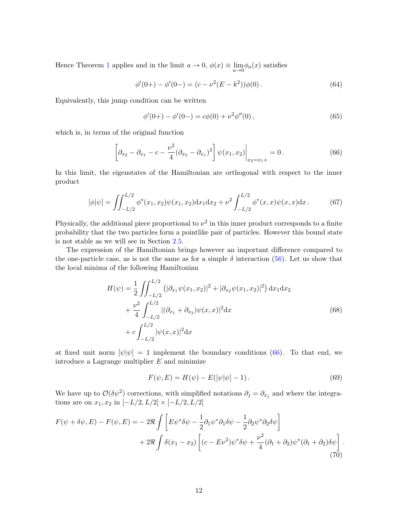Hence Theorem [1](#page-5-3) applies and in the limit  $a \to 0$ ,  $\phi(x) \equiv \lim_{a \to 0} \phi_a(x)$  satisfies

$$
\phi'(0+) - \phi'(0-) = (c - \nu^2(E - k^2))\phi(0).
$$
\n(64)

Equivalently, this jump condition can be written

<span id="page-11-0"></span>
$$
\phi'(0+) - \phi'(0-) = c\phi(0) + \nu^2 \phi''(0), \qquad (65)
$$

which is, in terms of the original function

$$
\left[\partial_{x_2} - \partial_{x_1} - c - \frac{\nu^2}{4} (\partial_{x_2} - \partial_{x_1})^2 \right] \psi(x_1, x_2) \bigg|_{x_2 = x_1 +} = 0. \tag{66}
$$

In this limit, the eigenstates of the Hamiltonian are orthogonal with respect to the inner product

$$
[\phi|\psi] = \iint_{-L/2}^{L/2} \phi^*(x_1, x_2) \psi(x_1, x_2) dx_1 dx_2 + \nu^2 \int_{-L/2}^{L/2} \phi^*(x, x) \psi(x, x) dx.
$$
 (67)

Physically, the additional piece proportional to  $\nu^2$  in this inner product corresponds to a finite probability that the two particles form a pointlike pair of particles. However this bound state is not stable as we will see in Section [2.5.](#page-12-0)

The expression of the Hamiltonian brings however an important difference compared to the one-particle case, as is not the same as for a simple  $\delta$  interaction [\(56\)](#page-10-3). Let us show that the local minima of the following Hamiltonian

$$
H(\psi) = \frac{1}{2} \iint_{-L/2}^{L/2} \left( |\partial_{x_1} \psi(x_1, x_2)|^2 + |\partial_{x_2} \psi(x_1, x_2)|^2 \right) dx_1 dx_2
$$
  
+ 
$$
\frac{\nu^2}{4} \int_{-L/2}^{L/2} |(\partial_{x_1} + \partial_{x_2}) \psi(x, x)|^2 dx
$$
  
+ 
$$
c \int_{-L/2}^{L/2} |\psi(x, x)|^2 dx
$$
 (68)

at fixed unit norm  $[\psi|\psi] = 1$  implement the boundary conditions [\(66\)](#page-11-0). To that end, we introduce a Lagrange multiplier  $E$  and minimize

$$
F(\psi, E) = H(\psi) - E([\psi|\psi] - 1).
$$
 (69)

We have up to  $\mathcal{O}(\delta \psi^2)$  corrections, with simplified notations  $\partial_j = \partial_{x_j}$  and where the integrations are on  $x_1, x_2$  in  $[-L/2, L/2] \times [-L/2, L/2]$ 

$$
F(\psi + \delta\psi, E) - F(\psi, E) = -2\Re \int \left[ E\psi^* \delta\psi - \frac{1}{2} \partial_1 \psi^* \partial_1 \delta\psi - \frac{1}{2} \partial_2 \psi^* \partial_2 \delta\psi \right] + 2\Re \int \delta(x_1 - x_2) \left[ (c - E\nu^2) \psi^* \delta\psi + \frac{\nu^2}{4} (\partial_1 + \partial_2) \psi^* (\partial_1 + \partial_2) \delta\psi \right].
$$
\n(70)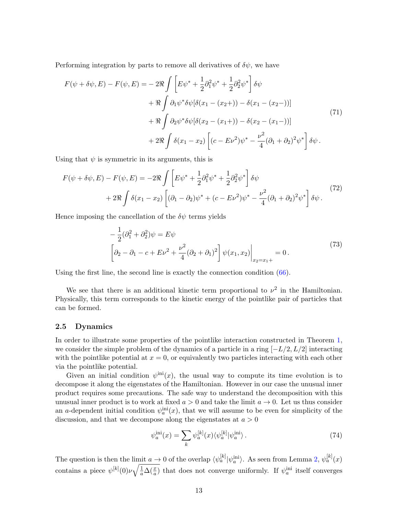Performing integration by parts to remove all derivatives of  $\delta \psi$ , we have

$$
F(\psi + \delta \psi, E) - F(\psi, E) = -2\Re \int \left[ E\psi^* + \frac{1}{2} \partial_1^2 \psi^* + \frac{1}{2} \partial_2^2 \psi^* \right] \delta \psi + \Re \int \partial_1 \psi^* \delta \psi [\delta(x_1 - (x_2 +)) - \delta(x_1 - (x_2 -))] + \Re \int \partial_2 \psi^* \delta \psi [\delta(x_2 - (x_1 +)) - \delta(x_2 - (x_1 -))] + 2\Re \int \delta(x_1 - x_2) \left[ (c - E\nu^2) \psi^* - \frac{\nu^2}{4} (\partial_1 + \partial_2)^2 \psi^* \right] \delta \psi.
$$
 (71)

Using that  $\psi$  is symmetric in its arguments, this is

$$
F(\psi + \delta \psi, E) - F(\psi, E) = -2\Re \int \left[ E\psi^* + \frac{1}{2} \partial_1^2 \psi^* + \frac{1}{2} \partial_2^2 \psi^* \right] \delta \psi
$$
  
+ 2\Re \int \delta(x\_1 - x\_2) \left[ (\partial\_1 - \partial\_2) \psi^\* + (c - E\nu^2) \psi^\* - \frac{\nu^2}{4} (\partial\_1 + \partial\_2)^2 \psi^\* \right] \delta \psi. (72)

Hence imposing the cancellation of the  $\delta\psi$  terms yields

$$
-\frac{1}{2}(\partial_1^2 + \partial_2^2)\psi = E\psi
$$
  

$$
\left[\partial_2 - \partial_1 - c + E\nu^2 + \frac{\nu^2}{4}(\partial_2 + \partial_1)^2\right]\psi(x_1, x_2)\Big|_{x_2 = x_1 +} = 0.
$$
 (73)

Using the first line, the second line is exactly the connection condition  $(66)$ .

We see that there is an additional kinetic term proportional to  $\nu^2$  in the Hamiltonian. Physically, this term corresponds to the kinetic energy of the pointlike pair of particles that can be formed.

### <span id="page-12-0"></span>2.5 Dynamics

In order to illustrate some properties of the pointlike interaction constructed in Theorem [1,](#page-5-3) we consider the simple problem of the dynamics of a particle in a ring  $[-L/2, L/2]$  interacting with the pointlike potential at  $x = 0$ , or equivalently two particles interacting with each other via the pointlike potential.

Given an initial condition  $\psi^{\text{ini}}(x)$ , the usual way to compute its time evolution is to decompose it along the eigenstates of the Hamiltonian. However in our case the unusual inner product requires some precautions. The safe way to understand the decomposition with this unusual inner product is to work at fixed  $a > 0$  and take the limit  $a \to 0$ . Let us thus consider an a-dependent initial condition  $\psi_a^{\text{ini}}(x)$ , that we will assume to be even for simplicity of the discussion, and that we decompose along the eigenstates at  $a > 0$ 

$$
\psi_a^{\text{ini}}(x) = \sum_k \psi_a^{\left[k\right]}(x) \langle \psi_a^{\left[k\right]} | \psi_a^{\text{ini}} \rangle. \tag{74}
$$

The question is then the limit  $a \to 0$  of the overlap  $\langle \psi_a^{[k]} | \psi_a^{in} \rangle$ . As seen from Lemma [2,](#page-6-2)  $\psi_a^{[k]}(x)$ contains a piece  $\psi^{[k]}(0)\nu\sqrt{\frac{1}{a}\Delta(\frac{x}{a})}$  that does not converge uniformly. If  $\psi_a^{\text{ini}}$  itself converges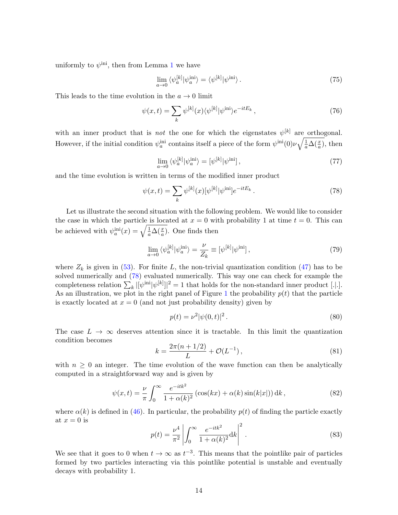uniformly to  $\psi^{\text{ini}}$ , then from Lemma [1](#page-6-1) we have

$$
\lim_{a \to 0} \langle \psi_a^{[k]} | \psi_a^{\text{ini}} \rangle = \langle \psi^{[k]} | \psi^{\text{ini}} \rangle. \tag{75}
$$

This leads to the time evolution in the  $a \to 0$  limit

$$
\psi(x,t) = \sum_{k} \psi^{[k]}(x) \langle \psi^{[k]} | \psi^{\text{ini}} \rangle e^{-itE_k}, \qquad (76)
$$

with an inner product that is *not* the one for which the eigenstates  $\psi^{[k]}$  are orthogonal. However, if the initial condition  $\psi_a^{\text{ini}}$  contains itself a piece of the form  $\psi^{\text{ini}}(0)\nu\sqrt{\frac{1}{a}\Delta(\frac{x}{a})}$ , then

<span id="page-13-0"></span>
$$
\lim_{a \to 0} \langle \psi_a^{[k]} | \psi_a^{\text{ini}} \rangle = [\psi^{[k]} | \psi^{\text{ini}}], \tag{77}
$$

and the time evolution is written in terms of the modified inner product

$$
\psi(x,t) = \sum_{k} \psi^{[k]}(x) [\psi^{[k]} | \psi^{\text{ini}}] e^{-itE_k} . \tag{78}
$$

Let us illustrate the second situation with the following problem. We would like to consider the case in which the particle is located at  $x = 0$  with probability 1 at time  $t = 0$ . This can be achieved with  $\psi_a^{\text{ini}}(x) = \sqrt{\frac{1}{a}\Delta(\frac{x}{a})}$ . One finds then

$$
\lim_{a \to 0} \langle \psi_a^{[k]} | \psi_a^{\text{ini}} \rangle = \frac{\nu}{Z_k} \equiv [\psi^{[k]} | \psi^{\text{ini}}], \tag{79}
$$

where  $Z_k$  is given in [\(53\)](#page-9-1). For finite L, the non-trivial quantization condition [\(47\)](#page-9-2) has to be solved numerically and [\(78\)](#page-13-0) evaluated numerically. This way one can check for example the completeness relation  $\sum_{k} |[\psi^{\text{ini}}|\psi^{[k]}]|^2 = 1$  that holds for the non-standard inner product [.|.]. As an illustration, we plot in the right panel of Figure [1](#page-14-1) the probability  $p(t)$  that the particle is exactly located at  $x = 0$  (and not just probability density) given by

$$
p(t) = \nu^2 |\psi(0, t)|^2.
$$
 (80)

The case  $L \to \infty$  deserves attention since it is tractable. In this limit the quantization condition becomes

$$
k = \frac{2\pi(n+1/2)}{L} + \mathcal{O}(L^{-1}),\tag{81}
$$

with  $n \geq 0$  an integer. The time evolution of the wave function can then be analytically computed in a straightforward way and is given by

$$
\psi(x,t) = \frac{\nu}{\pi} \int_0^\infty \frac{e^{-itk^2}}{1 + \alpha(k)^2} \left( \cos(kx) + \alpha(k)\sin(k|x|) \right) dk ,\qquad (82)
$$

where  $\alpha(k)$  is defined in [\(46\)](#page-8-2). In particular, the probability  $p(t)$  of finding the particle exactly at  $x = 0$  is

$$
p(t) = \frac{\nu^4}{\pi^2} \left| \int_0^\infty \frac{e^{-itk^2}}{1 + \alpha(k)^2} dk \right|^2.
$$
 (83)

We see that it goes to 0 when  $t \to \infty$  as  $t^{-3}$ . This means that the pointlike pair of particles formed by two particles interacting via this pointlike potential is unstable and eventually decays with probability 1.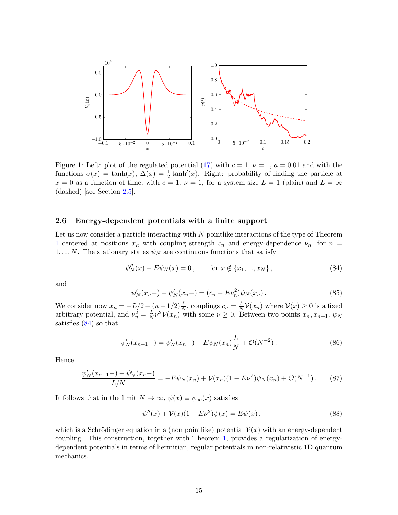

Figure 1: Left: plot of the regulated potential [\(17\)](#page-5-5) with  $c = 1$ ,  $\nu = 1$ ,  $a = 0.01$  and with the functions  $\sigma(x) = \tanh(x)$ ,  $\Delta(x) = \frac{1}{2} \tanh'(x)$ . Right: probability of finding the particle at  $x = 0$  as a function of time, with  $c = 1$ ,  $\nu = 1$ , for a system size  $L = 1$  (plain) and  $L = \infty$ (dashed) [see Section [2.5\]](#page-12-0).

#### <span id="page-14-0"></span>2.6 Energy-dependent potentials with a finite support

Let us now consider a particle interacting with N pointlike interactions of the type of Theorem [1](#page-5-3) centered at positions  $x_n$  with coupling strength  $c_n$  and energy-dependence  $\nu_n$ , for  $n =$ 1, ..., N. The stationary states  $\psi_N$  are continuous functions that satisfy

<span id="page-14-1"></span>
$$
\psi_N''(x) + E\psi_N(x) = 0, \qquad \text{for } x \notin \{x_1, ..., x_N\},
$$
\n(84)

and

<span id="page-14-2"></span>
$$
\psi'_N(x_n+) - \psi'_N(x_n-) = (c_n - E\nu_n^2)\psi_N(x_n).
$$
\n(85)

We consider now  $x_n = -L/2 + (n-1/2)\frac{L}{N}$ , couplings  $c_n = \frac{L}{N}$  $\frac{L}{N}V(x_n)$  where  $V(x) \geq 0$  is a fixed arbitrary potential, and  $\nu_n^2 = \frac{L}{N}$  $\frac{L}{N} \nu^2 \mathcal{V}(x_n)$  with some  $\nu \geq 0$ . Between two points  $x_n, x_{n+1}, \psi_N$ satisfies [\(84\)](#page-14-2) so that

$$
\psi'_{N}(x_{n+1}-) = \psi'_{N}(x_{n}+) - E\psi_{N}(x_{n})\frac{L}{N} + \mathcal{O}(N^{-2}).
$$
\n(86)

Hence

$$
\frac{\psi_N'(x_{n+1}-) - \psi_N'(x_n -)}{L/N} = -E\psi_N(x_n) + \mathcal{V}(x_n)(1 - E\nu^2)\psi_N(x_n) + \mathcal{O}(N^{-1}).\tag{87}
$$

It follows that in the limit  $N \to \infty$ ,  $\psi(x) \equiv \psi_{\infty}(x)$  satisfies

$$
-\psi''(x) + \mathcal{V}(x)(1 - E\nu^2)\psi(x) = E\psi(x), \qquad (88)
$$

which is a Schrödinger equation in a (non pointlike) potential  $\mathcal{V}(x)$  with an energy-dependent coupling. This construction, together with Theorem [1,](#page-5-3) provides a regularization of energydependent potentials in terms of hermitian, regular potentials in non-relativistic 1D quantum mechanics.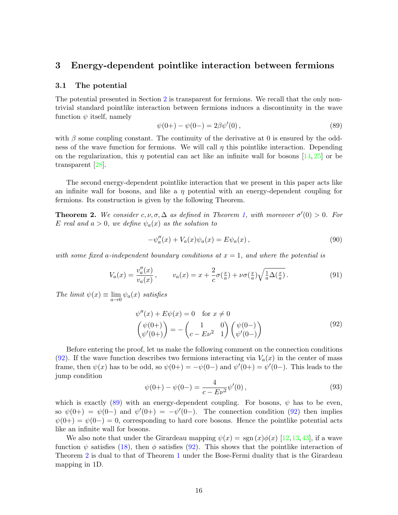## <span id="page-15-0"></span>3 Energy-dependent pointlike interaction between fermions

#### <span id="page-15-1"></span>3.1 The potential

The potential presented in Section [2](#page-5-0) is transparent for fermions. We recall that the only nontrivial standard pointlike interaction between fermions induces a discontinuity in the wave function  $\psi$  itself, namely

<span id="page-15-3"></span>
$$
\psi(0+) - \psi(0-) = 2\beta \psi'(0), \qquad (89)
$$

with  $\beta$  some coupling constant. The continuity of the derivative at 0 is ensured by the oddness of the wave function for fermions. We will call  $\eta$  this pointlike interaction. Depending on the regularization, this  $\eta$  potential can act like an infinite wall for bosons [\[14,](#page-18-7) [25\]](#page-19-0) or be transparent [\[28\]](#page-19-4).

The second energy-dependent pointlike interaction that we present in this paper acts like an infinite wall for bosons, and like a  $\eta$  potential with an energy-dependent coupling for fermions. Its construction is given by the following Theorem.

<span id="page-15-4"></span>**Theorem 2.** We consider  $c, \nu, \sigma, \Delta$  as defined in Theorem [1,](#page-5-3) with moreover  $\sigma'(0) > 0$ . For E real and  $a > 0$ , we define  $\psi_a(x)$  as the solution to

<span id="page-15-5"></span>
$$
-\psi_a''(x) + V_a(x)\psi_a(x) = E\psi_a(x),\qquad(90)
$$

with some fixed a-independent boundary conditions at  $x = 1$ , and where the potential is

$$
V_a(x) = \frac{v_a''(x)}{v_a(x)}, \qquad v_a(x) = x + \frac{2}{c}\sigma(\frac{x}{a}) + \nu\sigma(\frac{x}{a})\sqrt{\frac{1}{a}\Delta(\frac{x}{a})}. \tag{91}
$$

The limit  $\psi(x) \equiv \lim_{a \to 0} \psi_a(x)$  satisfies

<span id="page-15-2"></span>
$$
\psi''(x) + E\psi(x) = 0 \quad \text{for } x \neq 0
$$

$$
\begin{pmatrix} \psi(0+) \\ \psi'(0+) \end{pmatrix} = -\begin{pmatrix} 1 & 0 \\ c - E\nu^2 & 1 \end{pmatrix} \begin{pmatrix} \psi(0-) \\ \psi'(0-) \end{pmatrix}
$$
(92)

Before entering the proof, let us make the following comment on the connection conditions [\(92\)](#page-15-2). If the wave function describes two fermions interacting via  $V_a(x)$  in the center of mass frame, then  $\psi(x)$  has to be odd, so  $\psi(0+) = -\psi(0-)$  and  $\psi'(0+) = \psi'(0-)$ . This leads to the jump condition

$$
\psi(0+) - \psi(0-) = \frac{4}{c - E\nu^2} \psi'(0) , \qquad (93)
$$

which is exactly [\(89\)](#page-15-3) with an energy-dependent coupling. For bosons,  $\psi$  has to be even, so  $\psi(0+) = \psi(0-)$  and  $\psi'(0+) = -\psi'(0-)$ . The connection condition [\(92\)](#page-15-2) then implies  $\psi(0+) = \psi(0-) = 0$ , corresponding to hard core bosons. Hence the pointlike potential acts like an infinite wall for bosons.

We also note that under the Girardeau mapping  $\psi(x) = \text{sgn}(x)\phi(x)$  [\[12,](#page-18-6) [13,](#page-18-12) [43\]](#page-20-1), if a wave function  $\psi$  satisfies [\(18\)](#page-5-2), then  $\phi$  satisfies [\(92\)](#page-15-2). This shows that the pointlike interaction of Theorem [2](#page-15-4) is dual to that of Theorem [1](#page-5-3) under the Bose-Fermi duality that is the Girardeau mapping in 1D.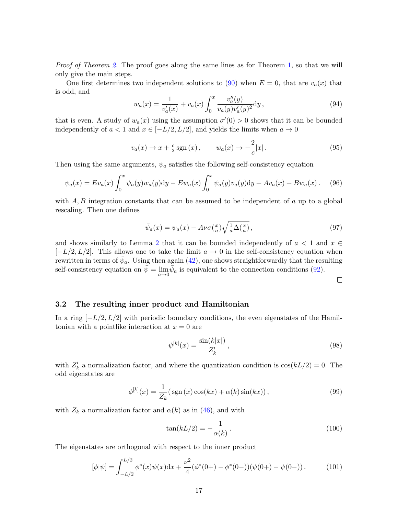*Proof of Theorem [2.](#page-15-4)* The proof goes along the same lines as for Theorem [1,](#page-5-3) so that we will only give the main steps.

One first determines two independent solutions to [\(90\)](#page-15-5) when  $E = 0$ , that are  $v_a(x)$  that is odd, and

$$
w_a(x) = \frac{1}{v_a'(x)} + v_a(x) \int_0^x \frac{v_a''(y)}{v_a(y)v_a'(y)^2} dy,
$$
\n(94)

that is even. A study of  $w_a(x)$  using the assumption  $\sigma'(0) > 0$  shows that it can be bounded independently of  $a < 1$  and  $x \in [-L/2, L/2]$ , and yields the limits when  $a \to 0$ 

$$
v_a(x) \to x + \frac{c}{2} \operatorname{sgn}(x), \qquad w_a(x) \to -\frac{2}{c}|x|.
$$
 (95)

Then using the same arguments,  $\psi_a$  satisfies the following self-consistency equation

$$
\psi_a(x) = E v_a(x) \int_0^x \psi_a(y) w_a(y) dy - E w_a(x) \int_0^x \psi_a(y) v_a(y) dy + Av_a(x) + B w_a(x).
$$
 (96)

with  $A, B$  integration constants that can be assumed to be independent of a up to a global rescaling. Then one defines

$$
\bar{\psi}_a(x) = \psi_a(x) - A\nu\sigma(\frac{x}{a})\sqrt{\frac{1}{a}\Delta(\frac{x}{a})},\tag{97}
$$

and shows similarly to Lemma [2](#page-6-2) that it can be bounded independently of  $a < 1$  and  $x \in$  $[-L/2, L/2]$ . This allows one to take the limit  $a \to 0$  in the self-consistency equation when rewritten in terms of  $\bar{\psi}_a$ . Using then again [\(42\)](#page-8-3), one shows straightforwardly that the resulting self-consistency equation on  $\bar{\psi} = \lim_{a \to 0} \bar{\psi}_a$  is equivalent to the connection conditions [\(92\)](#page-15-2).

 $\Box$ 

### <span id="page-16-0"></span>3.2 The resulting inner product and Hamiltonian

In a ring  $[-L/2, L/2]$  with periodic boundary conditions, the even eigenstates of the Hamiltonian with a pointlike interaction at  $x = 0$  are

$$
\psi^{[k]}(x) = \frac{\sin(k|x|)}{Z'_k},
$$
\n(98)

with  $Z'_{k}$  a normalization factor, and where the quantization condition is  $\cos(kL/2) = 0$ . The odd eigenstates are

$$
\phi^{[k]}(x) = \frac{1}{Z_k} (\text{sgn}(x)\cos(kx) + \alpha(k)\sin(kx)),\tag{99}
$$

with  $Z_k$  a normalization factor and  $\alpha(k)$  as in [\(46\)](#page-8-2), and with

$$
\tan(kL/2) = -\frac{1}{\alpha(k)}\,. \tag{100}
$$

The eigenstates are orthogonal with respect to the inner product

$$
[\phi|\psi] = \int_{-L/2}^{L/2} \phi^*(x)\psi(x)dx + \frac{\nu^2}{4}(\phi^*(0+)-\phi^*(0-))(\psi(0+)-\psi(0-)).
$$
 (101)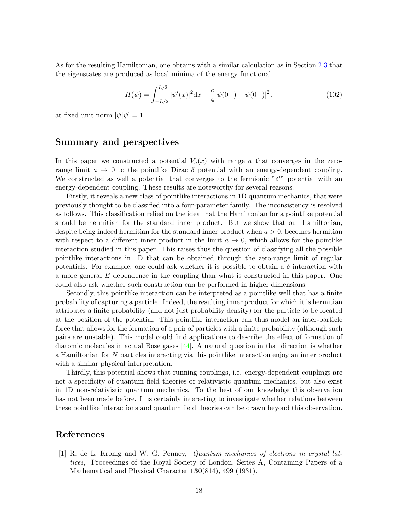As for the resulting Hamiltonian, one obtains with a similar calculation as in Section [2.3](#page-10-0) that the eigenstates are produced as local minima of the energy functional

<span id="page-17-1"></span>
$$
H(\psi) = \int_{-L/2}^{L/2} |\psi'(x)|^2 dx + \frac{c}{4} |\psi(0+) - \psi(0-)|^2,
$$
 (102)

at fixed unit norm  $[\psi|\psi] = 1$ .

# Summary and perspectives

In this paper we constructed a potential  $V_a(x)$  with range a that converges in the zerorange limit  $a \to 0$  to the pointlike Dirac  $\delta$  potential with an energy-dependent coupling. We constructed as well a potential that converges to the fermionic " $\delta$ " potential with an energy-dependent coupling. These results are noteworthy for several reasons.

Firstly, it reveals a new class of pointlike interactions in 1D quantum mechanics, that were previously thought to be classified into a four-parameter family. The inconsistency is resolved as follows. This classification relied on the idea that the Hamiltonian for a pointlike potential should be hermitian for the standard inner product. But we show that our Hamiltonian, despite being indeed hermitian for the standard inner product when  $a > 0$ , becomes hermitian with respect to a different inner product in the limit  $a \to 0$ , which allows for the pointlike interaction studied in this paper. This raises thus the question of classifying all the possible pointlike interactions in 1D that can be obtained through the zero-range limit of regular potentials. For example, one could ask whether it is possible to obtain a  $\delta$  interaction with a more general E dependence in the coupling than what is constructed in this paper. One could also ask whether such construction can be performed in higher dimensions.

Secondly, this pointlike interaction can be interpreted as a pointlike well that has a finite probability of capturing a particle. Indeed, the resulting inner product for which it is hermitian attributes a finite probability (and not just probability density) for the particle to be located at the position of the potential. This pointlike interaction can thus model an inter-particle force that allows for the formation of a pair of particles with a finite probability (although such pairs are unstable). This model could find applications to describe the effect of formation of diatomic molecules in actual Bose gases [\[44\]](#page-20-2). A natural question in that direction is whether a Hamiltonian for N particles interacting via this pointlike interaction enjoy an inner product with a similar physical interpretation.

Thirdly, this potential shows that running couplings, i.e. energy-dependent couplings are not a specificity of quantum field theories or relativistic quantum mechanics, but also exist in 1D non-relativistic quantum mechanics. To the best of our knowledge this observation has not been made before. It is certainly interesting to investigate whether relations between these pointlike interactions and quantum field theories can be drawn beyond this observation.

## References

<span id="page-17-0"></span>[1] R. de L. Kronig and W. G. Penney, Quantum mechanics of electrons in crystal lattices, Proceedings of the Royal Society of London. Series A, Containing Papers of a Mathematical and Physical Character 130(814), 499 (1931).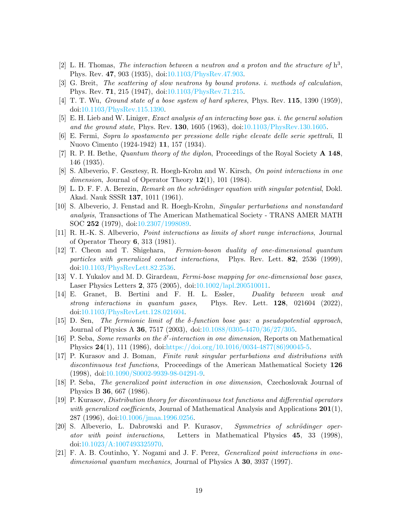- [2] L. H. Thomas, The interaction between a neutron and a proton and the structure of  $h^3$ , Phys. Rev. 47, 903 (1935), doi[:10.1103/PhysRev.47.903.](https://doi.org/10.1103/PhysRev.47.903)
- [3] G. Breit, The scattering of slow neutrons by bound protons. i. methods of calculation, Phys. Rev. 71, 215 (1947), doi[:10.1103/PhysRev.71.215.](https://doi.org/10.1103/PhysRev.71.215)
- [4] T. T. Wu, *Ground state of a bose system of hard spheres*, Phys. Rev. 115, 1390 (1959), doi[:10.1103/PhysRev.115.1390.](https://doi.org/10.1103/PhysRev.115.1390)
- <span id="page-18-0"></span>[5] E. H. Lieb and W. Liniger, Exact analysis of an interacting bose gas. i. the general solution and the ground state, Phys. Rev. 130, 1605 (1963), doi: $10.1103/PhysRev.130.1605$ .
- <span id="page-18-1"></span>[6] E. Fermi, Sopra lo spostamento per pressione delle righe elevate delle serie spettrali, Il Nuovo Cimento (1924-1942) 11, 157 (1934).
- <span id="page-18-2"></span>[7] R. P. H. Bethe, Quantum theory of the diplon, Proceedings of the Royal Society A 148, 146 (1935).
- <span id="page-18-3"></span>[8] S. Albeverio, F. Gesztesy, R. Hoegh-Krohn and W. Kirsch, On point interactions in one dimension, Journal of Operator Theory  $12(1)$ , 101 (1984).
- <span id="page-18-4"></span>[9] L. D. F. F. A. Berezin, Remark on the schrödinger equation with singular potential, Dokl. Akad. Nauk SSSR 137, 1011 (1961).
- [10] S. Albeverio, J. Fenstad and R. Hoegh-Krohn, Singular perturbations and nonstandard analysis, Transactions of The American Mathematical Society - TRANS AMER MATH SOC 252 (1979), doi[:10.2307/1998089.](https://doi.org/10.2307/1998089)
- <span id="page-18-5"></span>[11] R. H.-K. S. Albeverio, Point interactions as limits of short range interactions, Journal of Operator Theory 6, 313 (1981).
- <span id="page-18-6"></span>[12] T. Cheon and T. Shigehara, Fermion-boson duality of one-dimensional quantum particles with generalized contact interactions, Phys. Rev. Lett. 82, 2536 (1999), doi[:10.1103/PhysRevLett.82.2536.](https://doi.org/10.1103/PhysRevLett.82.2536)
- <span id="page-18-12"></span>[13] V. I. Yukalov and M. D. Girardeau, Fermi-bose mapping for one-dimensional bose gases, Laser Physics Letters 2, 375 (2005), doi[:10.1002/lapl.200510011.](https://doi.org/10.1002/lapl.200510011)
- <span id="page-18-7"></span>[14] E. Granet, B. Bertini and F. H. L. Essler, Duality between weak and strong interactions in quantum gases, Phys. Rev. Lett. 128, 021604 (2022), doi[:10.1103/PhysRevLett.128.021604.](https://doi.org/10.1103/PhysRevLett.128.021604)
- <span id="page-18-8"></span>[15] D. Sen, The fermionic limit of the  $\delta$ -function bose gas: a pseudopotential approach, Journal of Physics A 36, 7517 (2003), doi[:10.1088/0305-4470/36/27/305.](https://doi.org/10.1088/0305-4470/36/27/305)
- <span id="page-18-11"></span>[16] P. Seba, Some remarks on the  $\delta'$ -interaction in one dimension, Reports on Mathematical Physics 24(1), 111 (1986), doi[:https://doi.org/10.1016/0034-4877\(86\)90045-5.](https://doi.org/https://doi.org/10.1016/0034-4877(86)90045-5)
- [17] P. Kurasov and J. Boman, Finite rank singular perturbations and distributions with discontinuous test functions, Proceedings of the American Mathematical Society 126 (1998), doi[:10.1090/S0002-9939-98-04291-9.](https://doi.org/10.1090/S0002-9939-98-04291-9)
- <span id="page-18-9"></span>[18] P. Seba, The generalized point interaction in one dimension, Czechoslovak Journal of Physics B 36, 667 (1986).
- [19] P. Kurasov, Distribution theory for discontinuous test functions and differential operators with generalized coefficients, Journal of Mathematical Analysis and Applications  $201(1)$ , 287 (1996), doi[:10.1006/jmaa.1996.0256.](https://doi.org/10.1006/jmaa.1996.0256)
- <span id="page-18-10"></span> $[20]$  S. Albeverio, L. Dabrowski and P. Kurasov, Symmetries of schrödinger operator with point interactions, Letters in Mathematical Physics 45, 33 (1998), doi[:10.1023/A:1007493325970.](https://doi.org/10.1023/A:1007493325970)
- [21] F. A. B. Coutinho, Y. Nogami and J. F. Perez, Generalized point interactions in onedimensional quantum mechanics, Journal of Physics A 30, 3937 (1997).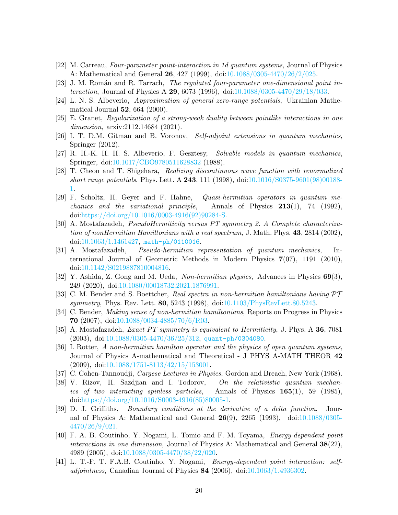- [22] M. Carreau, Four-parameter point-interaction in 1d quantum systems, Journal of Physics A: Mathematical and General 26, 427 (1999), doi[:10.1088/0305-4470/26/2/025.](https://doi.org/10.1088/0305-4470/26/2/025)
- <span id="page-19-3"></span> $[23]$  J. M. Román and R. Tarrach, The regulated four-parameter one-dimensional point in-teraction, Journal of Physics A 29, 6073 (1996), doi[:10.1088/0305-4470/29/18/033.](https://doi.org/10.1088/0305-4470/29/18/033)
- [24] L. N. S. Albeverio, Approximation of general zero-range potentials, Ukrainian Mathematical Journal 52, 664 (2000).
- <span id="page-19-0"></span>[25] E. Granet, Regularization of a strong-weak duality between pointlike interactions in one dimension, arxiv:2112.14684 (2021).
- <span id="page-19-1"></span>[26] I. T. D.M. Gitman and B. Voronov, Self-adjoint extensions in quantum mechanics, Springer (2012).
- <span id="page-19-2"></span>[27] R. H.-K. H. H. S. Albeverio, F. Gesztesy, Solvable models in quantum mechanics, Springer, doi[:10.1017/CBO9780511628832](https://doi.org/10.1017/CBO9780511628832) (1988).
- <span id="page-19-4"></span>[28] T. Cheon and T. Shigehara, Realizing discontinuous wave function with renormalized short range potentials, Phys. Lett. A 243, 111 (1998), doi[:10.1016/S0375-9601\(98\)00188-](https://doi.org/10.1016/S0375-9601(98)00188-1) [1.](https://doi.org/10.1016/S0375-9601(98)00188-1)
- <span id="page-19-5"></span>[29] F. Scholtz, H. Geyer and F. Hahne, Quasi-hermitian operators in quantum me*chanics and the variational principle*, Annals of Physics  $213(1)$ , 74 (1992), doi[:https://doi.org/10.1016/0003-4916\(92\)90284-S.](https://doi.org/https://doi.org/10.1016/0003-4916(92)90284-S)
- [30] A. Mostafazadeh, PseudoHermiticity versus PT symmetry 2. A Complete characterization of nonHermitian Hamiltonians with a real spectrum, J. Math. Phys.  $43, 2814$  (2002), doi[:10.1063/1.1461427,](https://doi.org/10.1063/1.1461427) <math-ph/0110016>.
- [31] A. Mostafazadeh, Pseudo-hermitian representation of quantum mechanics, International Journal of Geometric Methods in Modern Physics 7(07), 1191 (2010), doi[:10.1142/S0219887810004816.](https://doi.org/10.1142/S0219887810004816)
- <span id="page-19-6"></span>[32] Y. Ashida, Z. Gong and M. Ueda, Non-hermitian physics, Advances in Physics 69(3), 249 (2020), doi[:10.1080/00018732.2021.1876991.](https://doi.org/10.1080/00018732.2021.1876991)
- <span id="page-19-7"></span>[33] C. M. Bender and S. Boettcher, Real spectra in non-hermitian hamiltonians having PT symmetry, Phys. Rev. Lett. **80**, 5243 (1998), doi[:10.1103/PhysRevLett.80.5243.](https://doi.org/10.1103/PhysRevLett.80.5243)
- [34] C. Bender, Making sense of non-hermitian hamiltonians, Reports on Progress in Physics **70** (2007), doi: $10.1088/0034-4885/70/6/R03$ .
- <span id="page-19-8"></span>[35] A. Mostafazadeh, *Exact PT symmetry is equivalent to Hermiticity*, J. Phys. A 36, 7081 (2003), doi[:10.1088/0305-4470/36/25/312,](https://doi.org/10.1088/0305-4470/36/25/312) <quant-ph/0304080>.
- <span id="page-19-9"></span>[36] I. Rotter, A non-hermitian hamilton operator and the physics of open quantum systems, Journal of Physics A-mathematical and Theoretical - J PHYS A-MATH THEOR 42 (2009), doi[:10.1088/1751-8113/42/15/153001.](https://doi.org/10.1088/1751-8113/42/15/153001)
- <span id="page-19-10"></span>[37] C. Cohen-Tannoudji, Cargese Lectures in Physics, Gordon and Breach, New York (1968).
- <span id="page-19-11"></span>[38] V. Rizov, H. Sazdjian and I. Todorov, On the relativistic quantum mechanics of two interacting spinless particles, Annals of Physics 165(1), 59 (1985), doi[:https://doi.org/10.1016/S0003-4916\(85\)80005-1.](https://doi.org/https://doi.org/10.1016/S0003-4916(85)80005-1)
- <span id="page-19-12"></span>[39] D. J. Griffiths, Boundary conditions at the derivative of a delta function, Journal of Physics A: Mathematical and General 26(9), 2265 (1993), doi[:10.1088/0305-](https://doi.org/10.1088/0305-4470/26/9/021) [4470/26/9/021.](https://doi.org/10.1088/0305-4470/26/9/021)
- [40] F. A. B. Coutinho, Y. Nogami, L. Tomio and F. M. Toyama, Energy-dependent point interactions in one dimension, Journal of Physics A: Mathematical and General  $38(22)$ , 4989 (2005), doi[:10.1088/0305-4470/38/22/020.](https://doi.org/10.1088/0305-4470/38/22/020)
- [41] L. T.-F. T. F.A.B. Coutinho, Y. Nogami, Energy-dependent point interaction: selfadjointness, Canadian Journal of Physics  $84$  (2006), doi: $10.1063/1.4936302$ .